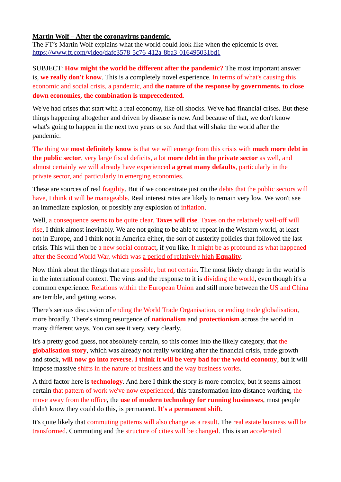## **Martin Wolf – After the coronavirus pandemic.**

The FT's Martin Wolf explains what the world could look like when the epidemic is over. <https://www.ft.com/video/dafc3578-5c76-412a-8ba3-016495031bd1>

SUBJECT: **How might the world be different after the pandemic?** The most important answer is, **we really don't know**. This is a completely novel experience. In terms of what's causing this economic and social crisis, a pandemic, and **the nature of the response by governments, to close down economies, the combination is unprecedented**.

We've had crises that start with a real economy, like oil shocks. We've had financial crises. But these things happening altogether and driven by disease is new. And because of that, we don't know what's going to happen in the next two years or so. And that will shake the world after the pandemic.

The thing we **most definitely know** is that we will emerge from this crisis with **much more debt in the public sector**, very large fiscal deficits, a lot **more debt in the private sector** as well, and almost certainly we will already have experienced **a great many defaults**, particularly in the private sector, and particularly in emerging economies.

These are sources of real fragility. But if we concentrate just on the debts that the public sectors will have, I think it will be manageable. Real interest rates are likely to remain very low. We won't see an immediate explosion, or possibly any explosion of inflation.

Well, a consequence seems to be quite clear. **Taxes will rise**. Taxes on the relatively well-off will rise, I think almost inevitably. We are not going to be able to repeat in the Western world, at least not in Europe, and I think not in America either, the sort of austerity policies that followed the last crisis. This will then be a new social contract, if you like. It might be as profound as what happened after the Second World War, which was a period of relatively high **Equality**.

Now think about the things that are possible, but not certain. The most likely change in the world is in the international context. The virus and the response to it is dividing the world, even though it's a common experience. Relations within the European Union and still more between the US and China are terrible, and getting worse.

There's serious discussion of ending the World Trade Organisation, or ending trade globalisation, more broadly. There's strong resurgence of **nationalism** and **protectionism** across the world in many different ways. You can see it very, very clearly.

It's a pretty good guess, not absolutely certain, so this comes into the likely category, that the **globalisation story**, which was already not really working after the financial crisis, trade growth and stock, **will now go into reverse. I think it will be very bad for the world economy**, but it will impose massive shifts in the nature of business and the way business works.

A third factor here is **technology**. And here I think the story is more complex, but it seems almost certain that pattern of work we've now experienced, this transformation into distance working, the move away from the office, the **use of modern technology for running businesses**, most people didn't know they could do this, is permanent. **It's a permanent shift**.

It's quite likely that commuting patterns will also change as a result. The real estate business will be transformed. Commuting and the structure of cities will be changed. This is an accelerated